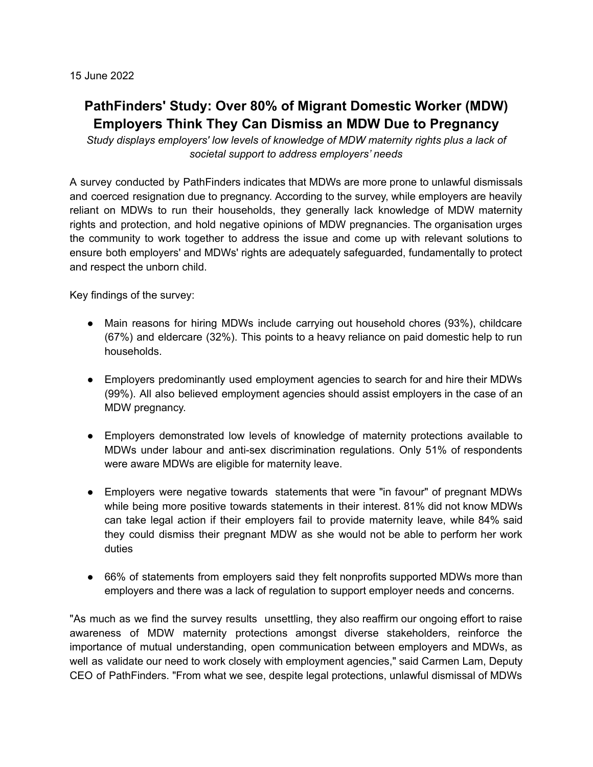15 June 2022

## **PathFinders' Study: Over 80% of Migrant Domestic Worker (MDW) Employers Think They Can Dismiss an MDW Due to Pregnancy**

*Study displays employers' low levels of knowledge of MDW maternity rights plus a lack of societal support to address employers' needs*

A survey conducted by PathFinders indicates that MDWs are more prone to unlawful dismissals and coerced resignation due to pregnancy. According to the survey, while employers are heavily reliant on MDWs to run their households, they generally lack knowledge of MDW maternity rights and protection, and hold negative opinions of MDW pregnancies. The organisation urges the community to work together to address the issue and come up with relevant solutions to ensure both employers' and MDWs' rights are adequately safeguarded, fundamentally to protect and respect the unborn child.

Key findings of the survey:

- Main reasons for hiring MDWs include carrying out household chores (93%), childcare (67%) and eldercare (32%). This points to a heavy reliance on paid domestic help to run households.
- Employers predominantly used employment agencies to search for and hire their MDWs (99%). All also believed employment agencies should assist employers in the case of an MDW pregnancy.
- Employers demonstrated low levels of knowledge of maternity protections available to MDWs under labour and anti-sex discrimination regulations. Only 51% of respondents were aware MDWs are eligible for maternity leave.
- Employers were negative towards statements that were "in favour" of pregnant MDWs while being more positive towards statements in their interest. 81% did not know MDWs can take legal action if their employers fail to provide maternity leave, while 84% said they could dismiss their pregnant MDW as she would not be able to perform her work duties
- 66% of statements from employers said they felt nonprofits supported MDWs more than employers and there was a lack of regulation to support employer needs and concerns.

"As much as we find the survey results unsettling, they also reaffirm our ongoing effort to raise awareness of MDW maternity protections amongst diverse stakeholders, reinforce the importance of mutual understanding, open communication between employers and MDWs, as well as validate our need to work closely with employment agencies," said Carmen Lam, Deputy CEO of PathFinders. "From what we see, despite legal protections, unlawful dismissal of MDWs